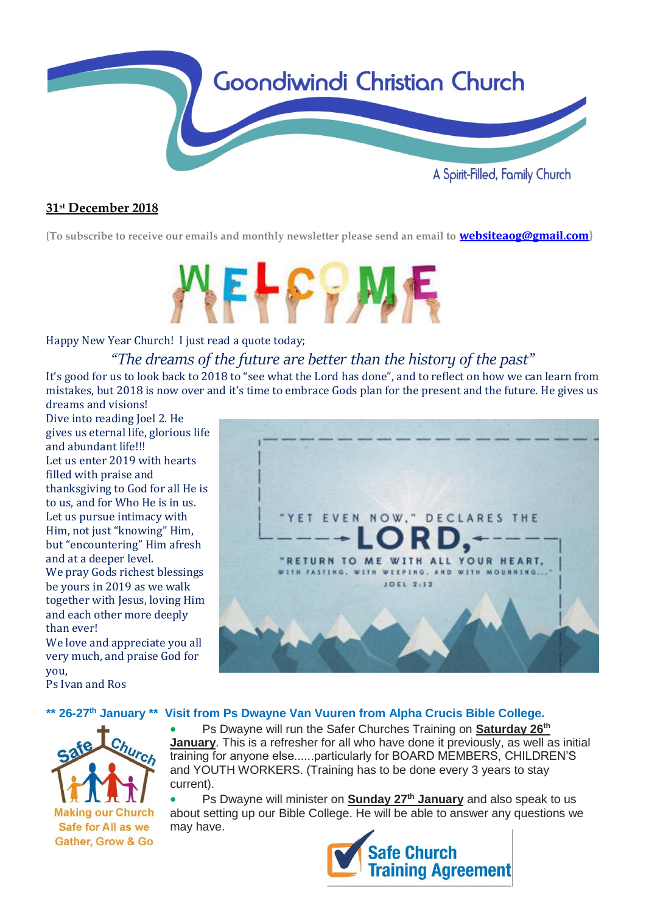

## **31 st December 2018**

**{To subscribe to receive our emails and monthly newsletter please send an email to [websiteaog@gmail.com](mailto:websiteaog@gmail.com)}**



## Happy New Year Church! I just read a quote today;

## *"The dreams of the future are better than the history of the past"*

It's good for us to look back to 2018 to "see what the Lord has done", and to reflect on how we can learn from mistakes, but 2018 is now over and it's time to embrace Gods plan for the present and the future. He gives us dreams and visions!

Dive into reading Joel 2. He gives us eternal life, glorious life and abundant life!!! Let us enter 2019 with hearts filled with praise and thanksgiving to God for all He is to us, and for Who He is in us. Let us pursue intimacy with Him, not just "knowing" Him, but "encountering" Him afresh and at a deeper level. We pray Gods richest blessings be yours in 2019 as we walk together with Jesus, loving Him and each other more deeply than ever!

We love and appreciate you all very much, and praise God for you,

Ps Ivan and Ros

## **\*\* 26-27th January \*\* Visit from Ps Dwayne Van Vuuren from Alpha Crucis Bible College.**



• Ps Dwayne will run the Safer Churches Training on **Saturday 26th January**. This is a refresher for all who have done it previously, as well as initial training for anyone else......particularly for BOARD MEMBERS, CHILDREN'S and YOUTH WORKERS. (Training has to be done every 3 years to stay current).

• Ps Dwayne will minister on **Sunday 27th January** and also speak to us about setting up our Bible College. He will be able to answer any questions we may have.



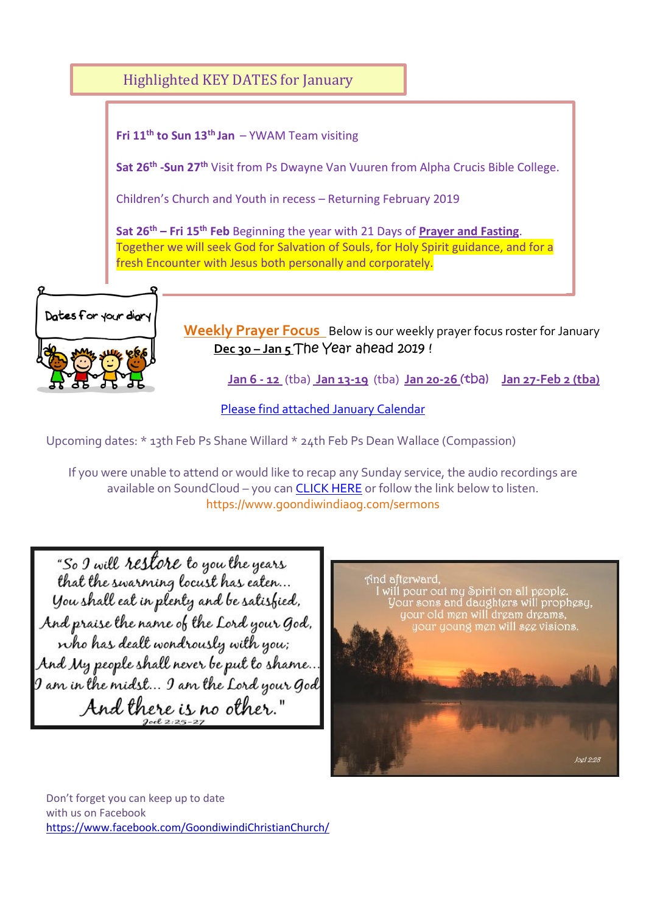

Upcoming dates: \* 13th Feb Ps Shane Willard \* 24th Feb Ps Dean Wallace (Compassion)

If you were unable to attend or would like to recap any Sunday service, the audio recordings are available on SoundCloud – you ca[n CLICK HERE](https://soundcloud.com/goondiwindi-aog) or follow the link below to listen. https://www.goondiwindiaog.com/sermons

"So I will restore to you the years that the swarming locust has eaten... You shall eat in plenty and be satisfied. And praise the name of the Lord your God, who has dealt wondrously with you; And My people shall never be put to shame... I am in the midst... I am the Lord your God And there is no other."



Don't forget you can keep up to date with us on Facebook <https://www.facebook.com/GoondiwindiChristianChurch/>